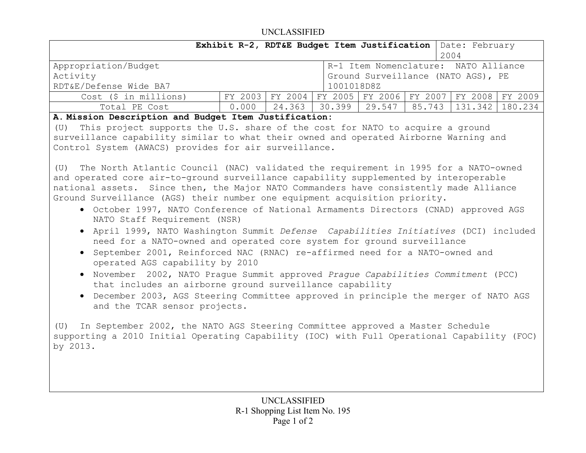## UNCLASSIFIED

|                                                                                                                                                                                                                                                                                                                                                                                                                                                                                                                                                                                                                                                                                                                                                                                                                                                                                                                                                                                                                                                                                                                                                                                                                                                                                                                                                                                                                                                                                                                                                                   |         | Exhibit R-2, RDT&E Budget Item Justification |        |                                 |        | Date: February<br>2004               |         |
|-------------------------------------------------------------------------------------------------------------------------------------------------------------------------------------------------------------------------------------------------------------------------------------------------------------------------------------------------------------------------------------------------------------------------------------------------------------------------------------------------------------------------------------------------------------------------------------------------------------------------------------------------------------------------------------------------------------------------------------------------------------------------------------------------------------------------------------------------------------------------------------------------------------------------------------------------------------------------------------------------------------------------------------------------------------------------------------------------------------------------------------------------------------------------------------------------------------------------------------------------------------------------------------------------------------------------------------------------------------------------------------------------------------------------------------------------------------------------------------------------------------------------------------------------------------------|---------|----------------------------------------------|--------|---------------------------------|--------|--------------------------------------|---------|
| Appropriation/Budget                                                                                                                                                                                                                                                                                                                                                                                                                                                                                                                                                                                                                                                                                                                                                                                                                                                                                                                                                                                                                                                                                                                                                                                                                                                                                                                                                                                                                                                                                                                                              |         |                                              |        |                                 |        | R-1 Item Nomenclature: NATO Alliance |         |
| Activity<br>Ground Surveillance (NATO AGS), PE                                                                                                                                                                                                                                                                                                                                                                                                                                                                                                                                                                                                                                                                                                                                                                                                                                                                                                                                                                                                                                                                                                                                                                                                                                                                                                                                                                                                                                                                                                                    |         |                                              |        |                                 |        |                                      |         |
| RDT&E/Defense Wide BA7<br>1001018D8Z                                                                                                                                                                                                                                                                                                                                                                                                                                                                                                                                                                                                                                                                                                                                                                                                                                                                                                                                                                                                                                                                                                                                                                                                                                                                                                                                                                                                                                                                                                                              |         |                                              |        |                                 |        |                                      |         |
| Cost (\$ in millions)                                                                                                                                                                                                                                                                                                                                                                                                                                                                                                                                                                                                                                                                                                                                                                                                                                                                                                                                                                                                                                                                                                                                                                                                                                                                                                                                                                                                                                                                                                                                             | FY 2003 |                                              |        | FY 2004 FY 2005 FY 2006 FY 2007 |        | FY 2008                              | FY 2009 |
| Total PE Cost                                                                                                                                                                                                                                                                                                                                                                                                                                                                                                                                                                                                                                                                                                                                                                                                                                                                                                                                                                                                                                                                                                                                                                                                                                                                                                                                                                                                                                                                                                                                                     | 0.000   | 24.363                                       | 30.399 | 29.547                          | 85.743 | 131.342                              | 180.234 |
| A. Mission Description and Budget Item Justification:<br>This project supports the U.S. share of the cost for NATO to acquire a ground<br>(U)<br>surveillance capability similar to what their owned and operated Airborne Warning and<br>Control System (AWACS) provides for air surveillance.<br>The North Atlantic Council (NAC) validated the requirement in 1995 for a NATO-owned<br>(U)<br>and operated core air-to-ground surveillance capability supplemented by interoperable<br>national assets. Since then, the Major NATO Commanders have consistently made Alliance<br>Ground Surveillance (AGS) their number one equipment acquisition priority.<br>• October 1997, NATO Conference of National Armaments Directors (CNAD) approved AGS<br>NATO Staff Requirement (NSR)<br>• April 1999, NATO Washington Summit Defense Capabilities Initiatives (DCI) included<br>need for a NATO-owned and operated core system for ground surveillance<br>• September 2001, Reinforced NAC (RNAC) re-affirmed need for a NATO-owned and<br>operated AGS capability by 2010<br>November 2002, NATO Praque Summit approved Praque Capabilities Commitment (PCC)<br>$\bullet$<br>that includes an airborne ground surveillance capability<br>December 2003, AGS Steering Committee approved in principle the merger of NATO AGS<br>and the TCAR sensor projects.<br>In September 2002, the NATO AGS Steering Committee approved a Master Schedule<br>(U)<br>supporting a 2010 Initial Operating Capability (IOC) with Full Operational Capability (FOC)<br>by 2013. |         |                                              |        |                                 |        |                                      |         |
|                                                                                                                                                                                                                                                                                                                                                                                                                                                                                                                                                                                                                                                                                                                                                                                                                                                                                                                                                                                                                                                                                                                                                                                                                                                                                                                                                                                                                                                                                                                                                                   |         |                                              |        |                                 |        |                                      |         |